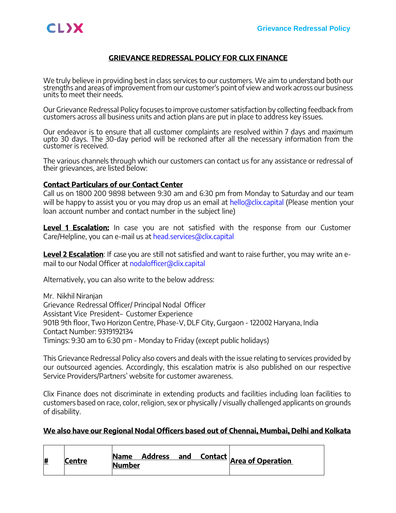### **GRIEVANCE REDRESSAL POLICY FOR CLIX FINANCE**

We truly believe in providing best in class services to our customers. We aim to understand both our strengths and areas of improvement from our customer's point of view and work across our business units to meet their needs.

Our Grievance Redressal Policy focuses to improve customer satisfaction by collecting feedback from customers across all business units and action plans are put in place to address key issues.

Our endeavor is to ensure that all customer complaints are resolved within 7 days and maximum upto 30 days. The 30-day period will be reckoned after all the necessary information from the customer is received.

The various channels through which our customers can contact us for any assistance or redressal of their grievances, are listed below:

### **Contact Particulars of our Contact Center**

Call us on 1800 200 9898 between 9:30 am and 6:30 pm from Monday to Saturday and our team will be happy to assist you or you may drop us an email at [hello@clix.capital](mailto:hello@clix.capital) (Please mention your loan account number and contact number in the subject line)

Level 1 Escalation: In case you are not satisfied with the response from our Customer Care/Helpline, you can e-mail us at [head.services@clix.capital](mailto:head.services@clix.capital)

**Level 2 Escalation**: If case you are still not satisfied and want to raise further, you may write an email to our Nodal Officer at [nodalofficer@clix.capital](mailto:nodalofficer@clix.capital)

Alternatively, you can also write to the below address:

Mr. Nikhil Niranjan Grievance Redressal Officer/ Principal Nodal Officer Assistant Vice President– Customer Experience 901B 9th floor, Two Horizon Centre, Phase-V, DLF City, Gurgaon - 122002 Haryana, India Contact Number: 9319192134 Timings: 9:30 am to 6:30 pm - Monday to Friday (except public holidays)

This Grievance Redressal Policy also covers and deals with the issue relating to services provided by our outsourced agencies. Accordingly, this escalation matrix is also published on our respective Service Providers/Partners' website for customer awareness.

Clix Finance does not discriminate in extending products and facilities including loan facilities to customers based on race, color, religion, sex or physically / visually challenged applicants on grounds of disability.

#### **We also have our Regional Nodal Officers based out of Chennai, Mumbai, Delhi and Kolkata**

| <u>#</u> | Centre | <b>Name</b>   | Address and |  |  |
|----------|--------|---------------|-------------|--|--|
|          |        | <b>Number</b> |             |  |  |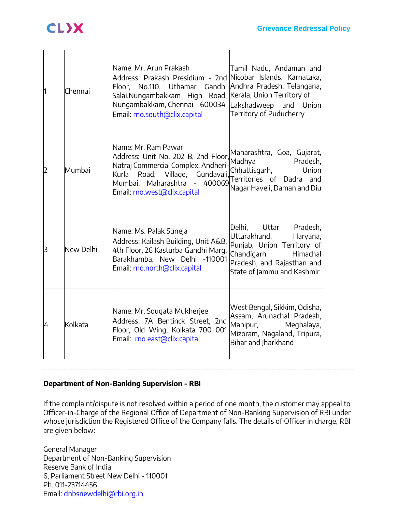| ł1 | Chennai   | Name: Mr. Arun Prakash<br>Address: Prakash Presidium - 2nd Nicobar Islands, Karnataka,<br>Floor, No.110, Uthamar Gandhi Andhra Pradesh, Telangana,<br>Salai,Nungambakkam High Road,  Kerala, Union Territory of<br>Nungambakkam, Chennai - 600034 Lakshadweep and Union<br>Email: rno.south@clix.capital | Tamil Nadu, Andaman and<br>Territory of Puducherry                                                                                                                       |
|----|-----------|----------------------------------------------------------------------------------------------------------------------------------------------------------------------------------------------------------------------------------------------------------------------------------------------------------|--------------------------------------------------------------------------------------------------------------------------------------------------------------------------|
| 2  | Mumbai    | Name: Mr. Ram Pawar<br>Address: Unit No. 202 B, 2nd Floor,<br>Natraj Commercial Complex, Andheri-<br>Road, Village, Gundavali,<br>Kurla<br>Mumbai, Maharashtra - 400069<br>Email: rno.west@clix.capital                                                                                                  | Maharashtra, Goa, Gujarat,<br>Madhya<br>Pradesh,<br>Chhattisgarh,<br>Union<br>Territories of Dadra and<br>Nagar Haveli, Daman and Diu                                    |
| lЗ | New Delhi | Name: Ms. Palak Suneja<br>Address: Kailash Building, Unit A&B,<br>4th Floor, 26 Kasturba Gandhi Marg,<br>Barakhamba, New Delhi -110001<br>Email: rno.north@clix.capital                                                                                                                                  | Delhi, Uttar<br>Pradesh,<br>Uttarakhand,<br>Haryana,<br>Punjab, Union Territory of<br>Chandigarh<br>Himachal<br>Pradesh, and Rajasthan and<br>State of Jammu and Kashmir |
| 4  | Kolkata   | Name: Mr. Sougata Mukherjee<br>Address: 7A Bentinck Street, 2nd<br>Floor, Old Wing, Kolkata 700 001<br>Email: rno.east@clix.capital                                                                                                                                                                      | West Bengal, Sikkim, Odisha,<br>Assam, Arunachal Pradesh,<br>Manipur,<br>Meghalaya,<br>Mizoram, Nagaland, Tripura,<br>Bihar and Jharkhand                                |

## **Department of Non-Banking Supervision - RBI**

If the complaint/dispute is not resolved within a period of one month, the customer may appeal to Officer-in-Charge of the Regional Office of Department of Non-Banking Supervision of RBI under whose jurisdiction the Registered Office of the Company falls. The details of Officer in charge, RBI are given below:

General Manager Department of Non-Banking Supervision Reserve Bank of India 6, Parliament Street New Delhi - 110001 Ph. 011-23714456 Email: [dnbsnewdelhi@rbi.org.in](mailto:dnbsnewdelhi@rbi.org.in)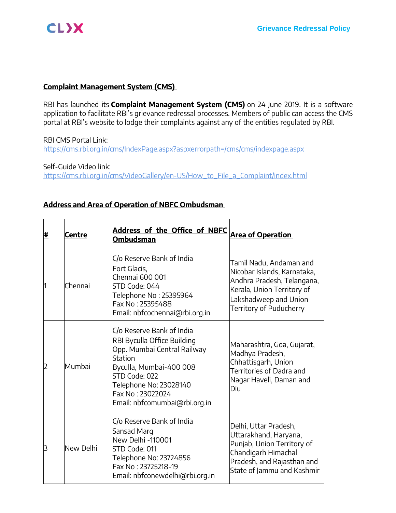

### **Complaint Management System (CMS)**

RBI has launched its **Complaint Management System (CMS)** on 24 June 2019. It is a software application to facilitate RBI's grievance redressal processes. Members of public can access the CMS portal at RBI's website to lodge their complaints against any of the entities regulated by RBI.

RBI CMS Portal Link: <https://cms.rbi.org.in/cms/IndexPage.aspx?aspxerrorpath=/cms/cms/indexpage.aspx>

Self-Guide Video link: [https://cms.rbi.org.in/cms/VideoGallery/en-US/How\\_to\\_File\\_a\\_Complaint/index.html](https://cms.rbi.org.in/cms/VideoGallery/en-US/How_to_File_a_Complaint/index.html)

### **Address and Area of Operation of NBFC Ombudsman**

| # | <b>Centre</b> | Address of the Office of NBFC<br><b>Ombudsman</b>                                                                                                                                                                                    | <b>Area of Operation</b>                                                                                                                                               |
|---|---------------|--------------------------------------------------------------------------------------------------------------------------------------------------------------------------------------------------------------------------------------|------------------------------------------------------------------------------------------------------------------------------------------------------------------------|
| 1 | Chennai       | C/o Reserve Bank of India<br>Fort Glacis,<br>Chennai 600 001<br>STD Code: 044<br>Telephone No: 25395964<br>Fax No: 25395488<br>Email: nbfcochennai@rbi.org.in                                                                        | Tamil Nadu, Andaman and<br>Nicobar Islands, Karnataka,<br>Andhra Pradesh, Telangana,<br>Kerala, Union Territory of<br>Lakshadweep and Union<br>Territory of Puducherry |
| 2 | Mumbai        | C/o Reserve Bank of India<br>RBI Byculla Office Building<br>Opp. Mumbai Central Railway<br><b>Station</b><br>Byculla, Mumbai-400 008<br>STD Code: 022<br>Telephone No: 23028140<br>Fax No: 23022024<br>Email: nbfcomumbai@rbi.org.in | Maharashtra, Goa, Gujarat,<br>Madhya Pradesh,<br>Chhattisgarh, Union<br>Territories of Dadra and<br>Nagar Haveli, Daman and<br>Diu                                     |
| 3 | New Delhi     | C/o Reserve Bank of India<br>Sansad Marg<br>New Delhi -110001<br>STD Code: 011<br>Telephone No: 23724856<br>Fax No: 23725218-19<br>Email: nbfconewdelhi@rbi.org.in                                                                   | Delhi, Uttar Pradesh,<br>Uttarakhand, Haryana,<br>Punjab, Union Territory of<br>Chandigarh Himachal<br>Pradesh, and Rajasthan and<br>State of Jammu and Kashmir        |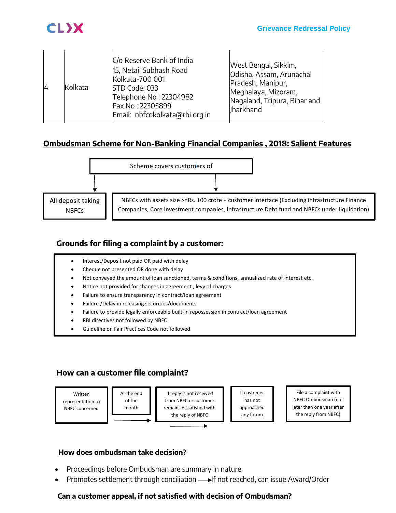

| $\overline{4}$ | Kolkata | C/o Reserve Bank of India<br>15, Netaji Subhash Road<br>Kolkata-700 001<br>STD Code: 033<br>Telephone No: 22304982<br>Fax No: 22305899<br>Email: nbfcokolkata@rbi.org.in | West Bengal, Sikkim,<br>Odisha, Assam, Arunachal<br>Pradesh, Manipur,<br>Meghalaya, Mizoram,<br>Nagaland, Tripura, Bihar and<br>llharkhand |
|----------------|---------|--------------------------------------------------------------------------------------------------------------------------------------------------------------------------|--------------------------------------------------------------------------------------------------------------------------------------------|
|----------------|---------|--------------------------------------------------------------------------------------------------------------------------------------------------------------------------|--------------------------------------------------------------------------------------------------------------------------------------------|

## **Ombudsman Scheme for Non-Banking Financial Companies , 2018: Salient Features**



# **Grounds for filing a complaint by a customer:**

- Interest/Deposit not paid OR paid with delay
- Cheque not presented OR done with delay
- Not conveyed the amount of loan sanctioned, terms & conditions, annualized rate of interest etc.
- Notice not provided for changes in agreement , levy of charges
- Failure to ensure transparency in contract/loan agreement
- Failure /Delay in releasing securities/documents
- Failure to provide legally enforceable built-in repossession in contract/loan agreement
- RBI directives not followed by NBFC
- Guideline on Fair Practices Code not followed

# **How can a customer file complaint?**

Written representation to NBFC concerned



If reply is not received from NBFC or customer remains dissatisfied with the reply of NBFC

If customer has not approached any forum

File a complaint with NBFC Ombudsman (not later than one year after the reply from NBFC)

## **How does ombudsman take decision?**

- Proceedings before Ombudsman are summary in nature.
- Promotes settlement through conciliation If not reached, can issue Award/Order

## **Can a customer appeal, if not satisfied with decision of Ombudsman?**